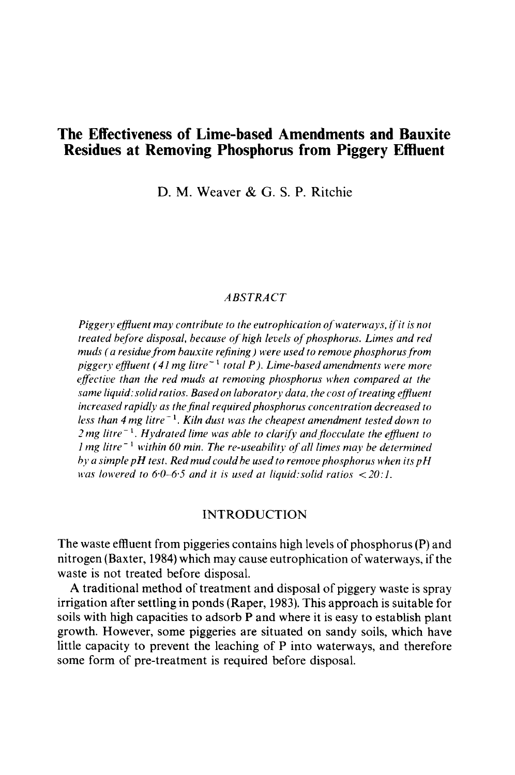# **Residues at Removing Phosphorus from Piggery Effluent The Effectiveness of Lime-based Amendments and Bauxite**

 D. M. Weaver & G. S. P. Ritchie

#### *ABSTRACT*

muds ( a residue from bauxite refining ) were used to remove phosphorus from less than 4 mg litre<sup>-1</sup>. Kiln dust was the cheapest amendment tested down to *Piggery effluent may contribute to the eutrophication of waterways, if it is not treated before disposal, because of high levels of phosphorus. Limes and red piggery effluent* (41 *mg litre-I total P). Lime-based amendments were more effective than the red muds at removing phosphorus when compared at the same liquid: solid ratios. Based on laboratory data, the cost of treating effluent increased rapidly as the final required phosphorus concentration decreased to 2 mg litre-* I. *Hydrated lime was able to clarify andflocculate the effluent to 1 mg litre*<sup>-1</sup> within 60 min. The re-useability of all limes may be determined *by a simple pH test. Redmudcould be used to remove phosphorus when its pH was lowered to 6.0–6.5 and it is used at liquid: solid ratios*  $\langle 20:1. \rangle$ 

# INTRODUCTION

The waste effluent from piggeries contains high levels of phosphorus (P) and nitrogen (Baxter, 1984) which may cause eutrophication of waterways, if the waste is not treated before disposal.

 A traditional method of treatment and disposal of piggery waste is spray some form of pre-treatment is required before disposal. irrigation after settling in ponds (Raper, 1983). This approach is suitable for soils with high capacities to adsorb P and where it is easy to establish plant growth. However, some piggeries are situated on sandy soils, which have little capacity to prevent the leaching of P into waterways, and therefore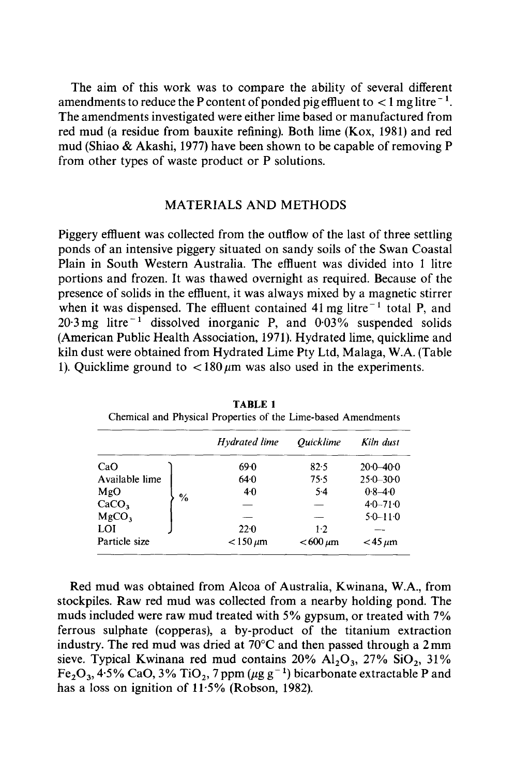amendments to reduce the P content of ponded pig effluent to  $<$  1 mg litre<sup>-1</sup>. The aim of this work was to compare the ability of several different The amendments investigated were either lime based or manufactured from red mud (a residue from bauxite refining). Both lime (Kox, 1981) and red mud (Shiao & Akashi, 1977) have been shown to be capable of removing P from other types of waste product or P solutions.

# MATERIALS AND METHODS

 Piggery effluent was collected from the outflow of the last of three settling Plain in South Western Australia. The effluent was divided into 1 litre  $20.3 \text{ mg}$  litre<sup>-1</sup> dissolved inorganic P, and  $0.03\%$  suspended solids ponds of an intensive piggery situated on sandy soils of the Swan Coastal portions and frozen. It was thawed overnight as required. Because of the presence of solids in the effluent, it was always mixed by a magnetic stirrer when it was dispensed. The effluent contained  $41 \text{ mg}$  litre<sup> $-1$ </sup> total P, and (American Public Health Association, 1971). Hydrated lime, quicklime and kiln dust were obtained from Hydrated Lime Pty Ltd, Malaga, W.A. (Table 1). Quicklime ground to  $\langle 180 \mu m \rangle$  was also used in the experiments.

|                        | Hydrated lime   | <i><b>Ouicklime</b></i>  | Kiln dust      |
|------------------------|-----------------|--------------------------|----------------|
| CaO                    | 69.0            | 82.5                     | $20.0 - 40.0$  |
| Available lime         | 64.0            | 75.5                     | $25.0 - 30.0$  |
| MgO                    | $4 - 0$         | $5-4$                    | $0.8 - 4.0$    |
| %<br>CaCO <sub>3</sub> |                 |                          | $4.0 - 71.0$   |
| MgCO <sub>3</sub>      |                 |                          | $5.0 - 11.0$   |
| LOI                    | $22 - 0$        | $1-2$                    |                |
| Particle size          | $<$ 150 $\mu$ m | $< 600 \,\mathrm{\mu m}$ | $<$ 45 $\mu$ m |

TABLE 1 Chemical and Physical Properties of the Lime-based Amendments

 muds included were raw mud treated with 5% gypsum, or treated with 7% industry. The red mud was dried at 70°C and then passed through a 2 mm Red mud was obtained from Alcoa of Australia, Kwinana, W.A., from stockpiles. Raw red mud was collected from a nearby holding pond. The ferrous sulphate (copperas), a by-product of the titanium extraction sieve. Typical Kwinana red mud contains  $20\%$  Al<sub>2</sub>O<sub>3</sub>,  $27\%$  SiO<sub>2</sub>,  $31\%$  $Fe<sub>2</sub>O<sub>3</sub>$ , 4·5% CaO, 3% TiO<sub>2</sub>, 7 ppm ( $\mu$ g g<sup>-1</sup>) bicarbonate extractable P and has a loss on ignition of 11·5% (Robson, 1982).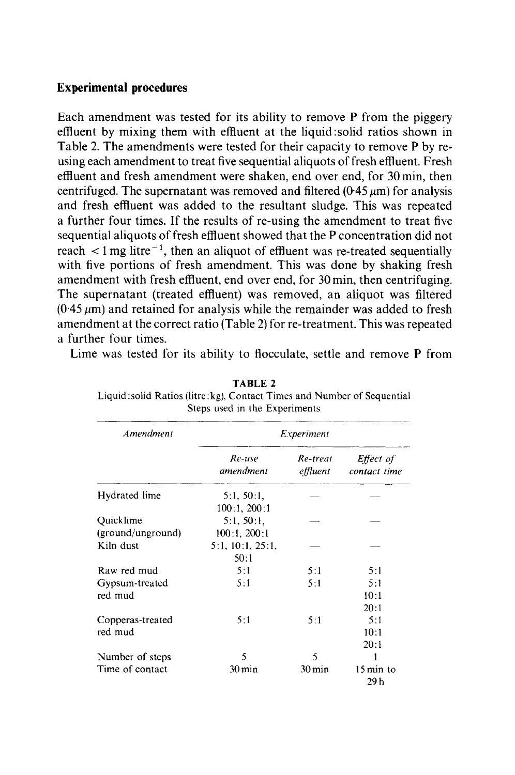# **Experimental procedures**

 effluent by mixing them with effluent at the liquid:solid ratios shown in centrifuged. The supernatant was removed and filtered (0.45  $\mu$ m) for analysis and fresh effluent was added to the resultant sludge. This was repeated sequential aliquots of fresh effluent showed that the P concentration did not reach  $\lt 1$  mg litre<sup>-1</sup>, then an aliquot of effluent was re-treated sequentially  $(0.45 \,\mu\text{m})$  and retained for analysis while the remainder was added to fresh Each amendment was tested for its ability to remove P from the piggery Table 2. The amendments were tested for their capacity to remove P by reusing each amendment to treat five sequential aliquots of fresh effluent. Fresh effluent and fresh amendment were shaken, end over end, for 30 min, then a further four times. If the results of re-using the amendment to treat five with five portions of fresh amendment. This was done by shaking fresh amendment with fresh effluent, end over end, for 30 min, then centrifuging. The supernatant (treated effluent) was removed, an aliquot was filtered amendment at the correct ratio (Table 2) for re-treatment. This was repeated a further four times.

Lime was tested for its ability to flocculate, settle and remove P from

| Amendment         | <i>Experiment</i>          |                     |                                    |
|-------------------|----------------------------|---------------------|------------------------------------|
|                   | Re-use<br>amendment        | Re-treat            | Effect of<br>effluent contact time |
| Hydrated lime     | 5:1, 50:1,<br>100:1, 200:1 |                     |                                    |
| Quicklime         | 5:1, 50:1                  |                     |                                    |
| (ground/unground) | $100:1$ , $200:1$          |                     |                                    |
| Kiln dust         | 5:1, 10:1, 25:1,           |                     |                                    |
|                   | 50:1                       |                     |                                    |
| Raw red mud       | 5:1                        | 5:1                 | 5:1                                |
| Gypsum-treated    | 5:1                        | 5:1                 | 5:1                                |
| red mud           |                            |                     | 10:1                               |
|                   |                            |                     | 20:1                               |
| Copperas-treated  | 5:1                        | 5:1                 | 5:1                                |
| red mud           |                            |                     | 10:1                               |
|                   |                            |                     | 20:1                               |
| Number of steps   | $\varsigma$                | 5                   |                                    |
| Time of contact   | $30 \,\mathrm{min}$        | $30 \,\mathrm{min}$ | $15 \text{ min}$ to<br>29 h        |

 Liquid :solid Ratios (litre:kg), Contact Times and Number of Sequential TABLE 2 Steps used in the Experiments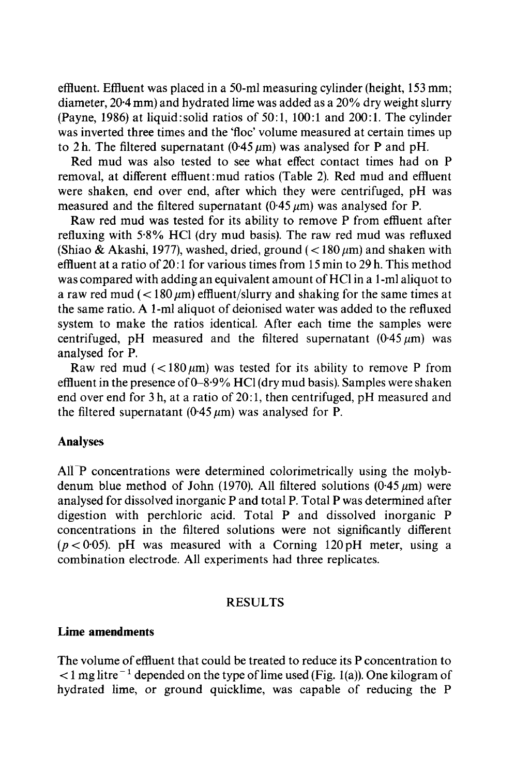effluent. Effluent was placed in a 50-ml measuring cylinder (height, 153 mm; diameter, 20·4 mm) and hydrated lime was added as a 20% dry weight slurry (Payne, 1986) at liquid:solid ratios of 50:1, 100:1 and 200:1. The cylinder was inverted three times and the 'floc' volume measured at certain times up to 2 h. The filtered supernatant (0.45  $\mu$ m) was analysed for P and pH.

Red mud was also tested to see what effect contact times had on P removal, at different effluent:mud ratios (Table 2). Red mud and effluent were shaken, end over end, after which they were centrifuged, pH was measured and the filtered supernatant  $(0.45 \mu m)$  was analysed for P.

 refluxing with 5·8% HCI (dry mud basis). The raw red mud was refluxed effluent at a ratio of 20:1 for various times from 15 min to 29 h. This method was compared with adding an equivalent amount ofHCI in a I-ml aliquot to a raw red mud ( $\langle 180 \mu m \rangle$  effluent/slurry and shaking for the same times at Raw red mud was tested for its ability to remove P from effluent after (Shiao & Akashi, 1977), washed, dried, ground  $\left($  < 180  $\mu$ m) and shaken with the same ratio. A I-ml aliquot of deionised water was added to the refluxed system to make the ratios identical. After each time the samples were centrifuged, pH measured and the filtered supernatant  $(0.45 \mu m)$  was analysed for P.

Raw red mud ( $\lt 180 \mu m$ ) was tested for its ability to remove P from effluent in the presence of  $0-8.9\%$  HCl (dry mud basis). Samples were shaken end over end for 3 h, at a ratio of 20:1, then centrifuged, pH measured and the filtered supernatant (0.45  $\mu$ m) was analysed for P.

# Analyses

 analysed for dissolved inorganic P and total P. Total P was determined after All P concentrations were determined colorimetrically using the molybdenum blue method of John (1970). All filtered solutions (0.45  $\mu$ m) were digestion with perchloric acid. Total P and dissolved inorganic P concentrations in the filtered solutions were not significantly different  $(p < 0.05)$ . pH was measured with a Corning 120 pH meter, using a combination electrode. All experiments had three replicates.

#### RESULTS

#### **Lime amendments**

The volume of effluent that could be treated to reduce its P concentration to  $<$  1 mg litre<sup>-1</sup> depended on the type of lime used (Fig. 1(a)). One kilogram of hydrated lime, or ground quicklime, was capable of reducing the P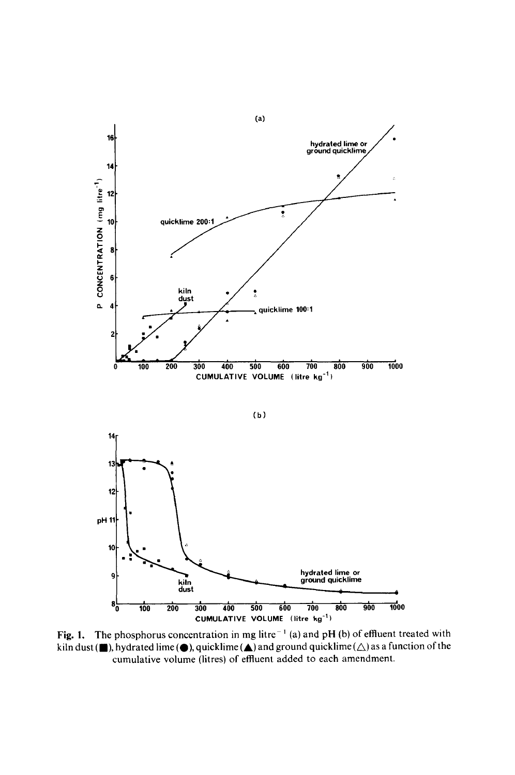

Fig. 1. The phosphorus concentration in mg litre<sup> $-1$ </sup> (a) and pH (b) of effluent treated with kiln dust ( $\blacksquare$ ), hydrated lime  $\spadesuit$ ), quicklime  $\spadesuit$ ) and ground quicklime  $\spadesuit$ ) as a function of the cumulative volume (litres) of effluent added to each amendment.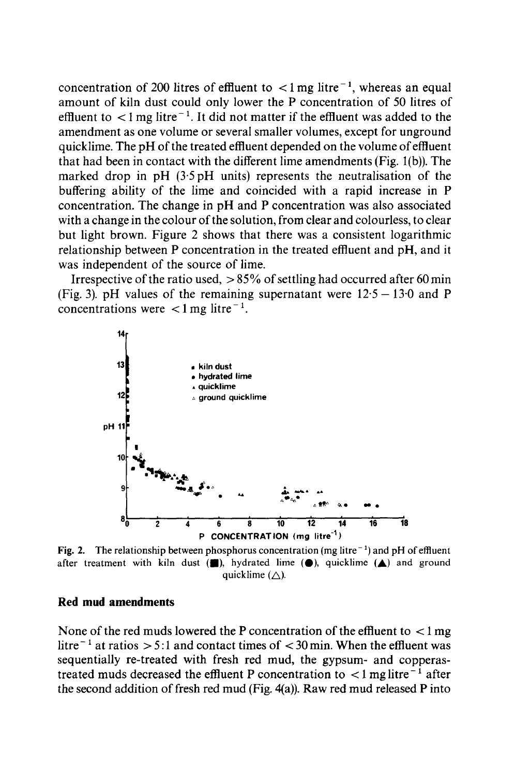concentration of 200 litres of effluent to  $\lt 1$  mg litre<sup>-1</sup>, whereas an equal effluent to  $\langle 1 \rangle$  = 1 mg litre<sup>-1</sup>. It did not matter if the effluent was added to the amendment as one volume or several smaller volumes, except for unground quicklime. The pH of the treated effluent depended on the volume of effluent with a change in the colour of the solution, from clear and colourless, to clear amount of kiln dust could only lower the P concentration of 50 litres of that had been in contact with the different lime amendments (Fig. 1(b)). The marked drop in pH (3'5 pH units) represents the neutralisation of the buffering ability of the lime and coincided with a rapid increase in P concentration. The change in pH and P concentration was also associated but light brown. Figure 2 shows that there was a consistent logarithmic relationship between P concentration in the treated effluent and pH, and it was independent of the source of lime.

concentrations were  $\lt 1$  mg litre<sup>-1</sup>. Irrespective of the ratio used,  $> 85\%$  of settling had occurred after 60 min (Fig. 3). pH values of the remaining supernatant were  $12.5 - 13.0$  and P



**Fig. 2.** The relationship between phosphorus concentration (mg litre<sup> $-1$ </sup>) and pH of effluent after treatment with kiln dust  $(\blacksquare)$ , hydrated lime  $(\spadesuit)$ , quicklime  $(\spadesuit)$  and ground quicklime  $(\triangle)$ .

#### Red **mud** amendments

None of the red muds lowered the P concentration of the effluent to  $\langle 1 \rangle$  mg litre<sup> $-1$ </sup> at ratios  $> 5:1$  and contact times of  $< 30$  min. When the effluent was treated muds decreased the effluent P concentration to  $\lt 1$  mg litre<sup>-1</sup> after the second addition of fresh red mud (Fig. 4(a)). Raw red mud released P into sequentially re-treated with fresh red mud, the gypsum- and copperas-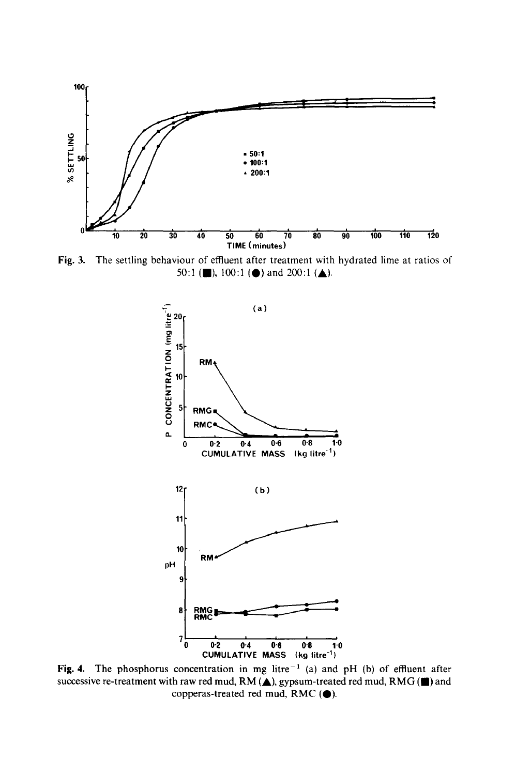

Fig. 3. The settling behaviour of effluent after treatment with hydrated lime at ratios of 50:1 ( $\Box$ ), 100:1 ( $\Diamond$ ) and 200:1 ( $\triangle$ ).



Fig. 4. The phosphorus concentration in mg litre<sup> $-1$ </sup> (a) and pH (b) of effluent after successive re-treatment with raw red mud,  $RM(\triangle)$ , gypsum-treated red mud,  $RMG(\blacksquare)$  and copperas-treated red mud, RMC  $(①)$ .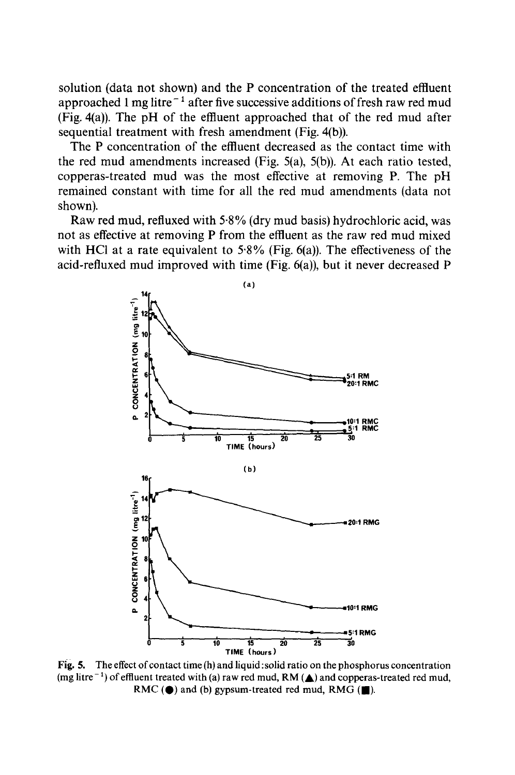(Fig.4(a)). The pH of the effluent approached that of the red mud after solution (data not shown) and the P concentration of the treated effluent approached 1 mg litre<sup> $-1$ </sup> after five successive additions of fresh raw red mud sequential treatment with fresh amendment (Fig. 4(b)).

 The P concentration of the effluent decreased as the contact time with the red mud amendments increased (Fig. 5(a), 5(b)). At each ratio tested, remained constant with time for all the red mud amendments (data not copperas-treated mud was the most effective at removing P. The pH shown).

with HCl at a rate equivalent to  $5.8\%$  (Fig. 6(a)). The effectiveness of the Raw red mud, refluxed with 5·8% (dry mud basis) hydrochloric acid, was not as effective at removing P from the effluent as the raw red mud mixed acid-refluxed mud improved with time (Fig. 6(a)), but it never decreased P



Fig. 5. The effect of contact time  $(h)$  and liquid : solid ratio on the phosphorus concentration (mg litre<sup> $-1$ </sup>) of effluent treated with (a) raw red mud, RM ( $\triangle$ ) and copperas-treated red mud, RMC ( $\bullet$ ) and (b) gypsum-treated red mud, RMG ( $\blacksquare$ ).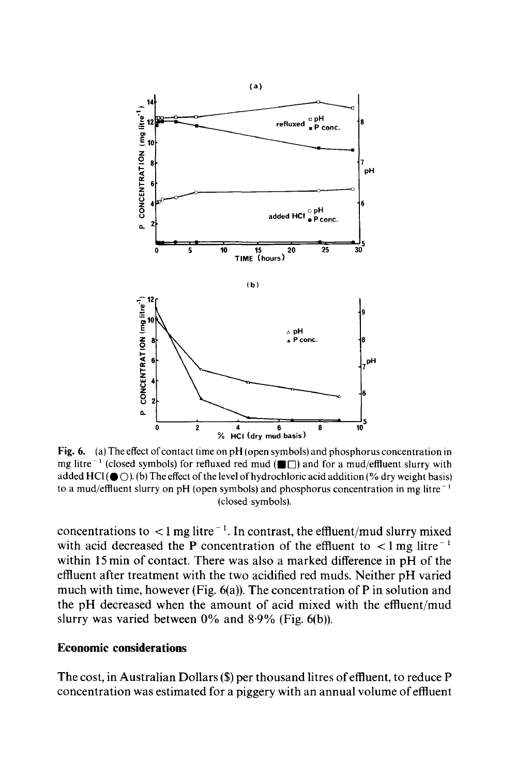

mg litre<sup>-1</sup> (closed symbols) for refluxed red mud ( $\blacksquare$ ) and for a mud/effluent slurry with added HCl ( $\bigcirc$ O). (b) The effect of the level of hydrochloric acid addition (% dry weight basis) to a mud/effluent slurry on pH (open symbols) and phosphorus concentration in mg litre  $^{-1}$  (closed symbols). Fig. 6. (a) The effect of contact time on  $pH$  (open symbols) and phosphorus concentration in

concentrations to  $\lt 1$  mg litre<sup> $-1$ </sup>. In contrast, the effluent/mud slurry mixed with acid decreased the P concentration of the effluent to  $\lt 1$  mg litre<sup>-1</sup>  effluent after treatment with the two acidified red muds. Neither pH varied slurry was varied between  $0\%$  and  $8.9\%$  (Fig. 6(b)). within 15 min of contact. There was also a marked difference in pH of the much with time, however (Fig.  $6(a)$ ). The concentration of P in solution and the pH decreased when the amount of acid mixed with the effluent/mud

# **Economic considerations**

The cost, in Australian Dollars (\$) per thousand litres ofeffluent, to reduce P concentration was estimated for a piggery with an annual volume ofeffluent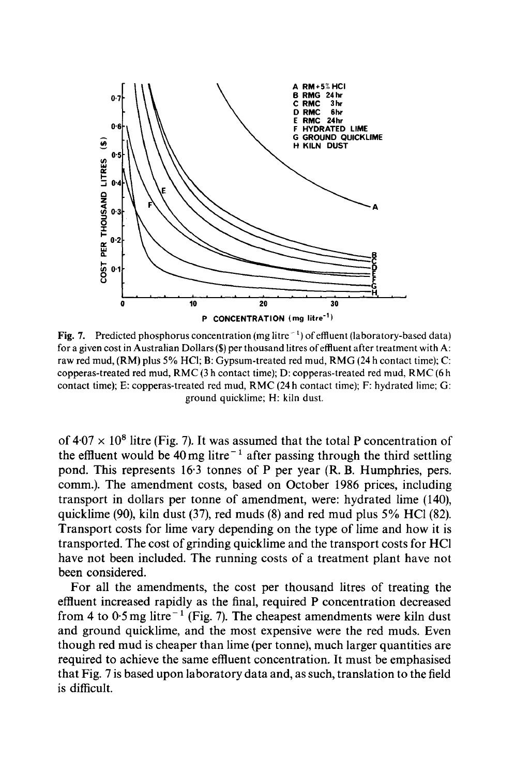

Fig. 7. Predicted phosphorus concentration (mg litre  $^{-1}$ ) of effluent (laboratory-based data) for a given cost in Australian Dollars (\$) per thousand litres of effluent after treatment with A: raw red mud, (RM) plus 5% HCI; B: Gypsum-treated red mud, RMG (24 h contact time); C: copperas-treated red mud, RMC (3 h contact time); D: copperas-treated red mud, RMC (6 h contact time); E: copperas-treated red mud, RMC (24 h contact time); F: hydrated lime; G: ground quicklime; H: kiln dust.

of  $4.07 \times 10^8$  litre (Fig. 7). It was assumed that the total P concentration of the effluent would be 40 mg litre<sup> $-1$ </sup> after passing through the third settling pond. This represents 16·3 tonnes of P per year (R. B. Humphries, pers. comm.). The amendment costs, based on October 1986 prices, including transport in dollars per tonne of amendment, were: hydrated lime (140), quicklime (90), kiln dust (37), red muds (8) and red mud plus 5% HCI (82). Transport costs for lime vary depending on the type of lime and how it is transported. The cost of grinding quicklime and the transport costs for HCI have not been included. The running costs of a treatment plant have not been considered.

 though red mud is cheaper than lime (per tonne), much larger quantities are required to achieve the same effluent concentration. It must be emphasised For all the amendments, the cost per thousand litres of treating the effluent increased rapidly as the final, required P concentration decreased from 4 to  $0.5$  mg litre<sup>-1</sup> (Fig. 7). The cheapest amendments were kiln dust and ground quicklime, and the most expensive were the red muds. Even that Fig. 7 is based upon laboratory data and, as such, translation to the field is difficult.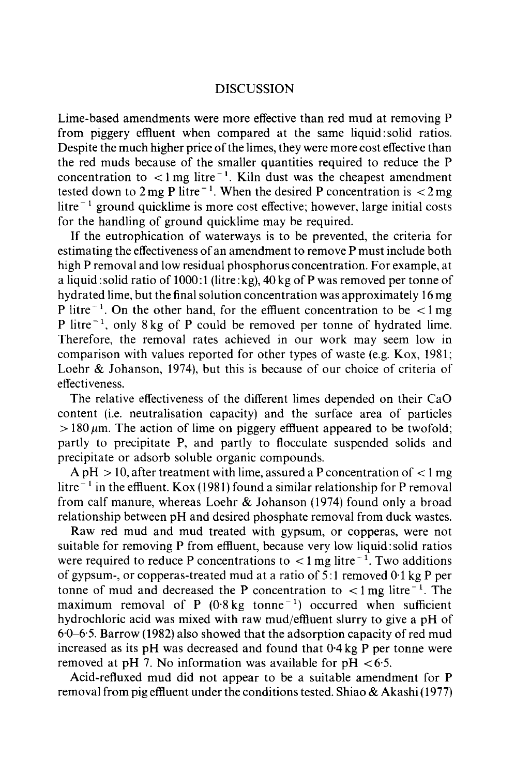## **DISCUSSION**

 the red muds because of the smaller quantities required to reduce the P concentration to  $\lt 1$  mg litre<sup>-1</sup>. Kiln dust was the cheapest amendment tested down to  $2 \text{ mg P}$  litre<sup> $-1$ </sup>. When the desired P concentration is  $\langle 2 \text{ mg} \rangle$ Lime-based amendments were more effective than red mud at removing P from piggery effluent when compared at the same liquid: solid ratios. Despite the much higher price of the limes, they were more cost effective than  $litre^{-1}$  ground quicklime is more cost effective; however, large initial costs for the handling of ground quicklime may be required.

 If the eutrophication of waterways is to be prevented, the criteria for high P removal and low residual phosphorus concentration. For example, at a liquid :solid ratio of 1000:1 (litre:kg), 40 kg of P was removed per tonne of P litre<sup> $-1$ </sup>. On the other hand, for the effluent concentration to be  $\lt 1$  mg Therefore, the removal rates achieved in our work may seem low in estimating the effectiveness of an amendment to remove P must include both hydrated lime, but the final solution concentration was approximately 16 mg P litre<sup> $-1$ </sup>, only 8 kg of P could be removed per tonne of hydrated lime. comparison with values reported for other types of waste (e.g. Kox, 1981; Loehr & Johanson, 1974), but this is because of our choice of criteria of effectiveness.

The relative effectiveness of the different limes depended on their CaO content (i.e. neutralisation capacity) and the surface area of particles  $> 180 \,\mu$ m. The action of lime on piggery effluent appeared to be twofold; partly to precipitate P, and partly to flocculate suspended solids and precipitate or adsorb soluble organic compounds.

A pH  $>$  10, after treatment with lime, assured a P concentration of  $<$  1 mg litre<sup> $-1$ </sup> in the effluent. Kox (1981) found a similar relationship for P removal from calf manure, whereas Loehr & Johanson (1974) found only a broad relationship between pH and desired phosphate removal from duck wastes.

were required to reduce P concentrations to  $\lt 1$  mg litre<sup> $-1$ </sup>. Two additions of gypsum-, or copperas-treated mud at a ratio of 5 :1 removed 0·1 kg P per tonne of mud and decreased the P concentration to  $\lt 1$  mg litre<sup>-1</sup>. The maximum removal of P  $(0.8 \text{ kg tonne}^{-1})$  occurred when sufficient hydrochloric acid was mixed with raw mud/effluent slurry to give a pH of 60–65. Barrow (1982) also showed that the adsorption capacity of red mud increased as its pH was decreased and found that 0·4 kg P per tonne were Raw red mud and mud treated with gypsum, or copperas, were not suitable for removing P from effluent, because very low liquid:solid ratios removed at pH 7. No information was available for  $pH < 6.5$ .

Acid-refluxed mud did not appear to be a suitable amendment for P removal from pig effluent under the conditions tested. Shiao & Akashi (1977)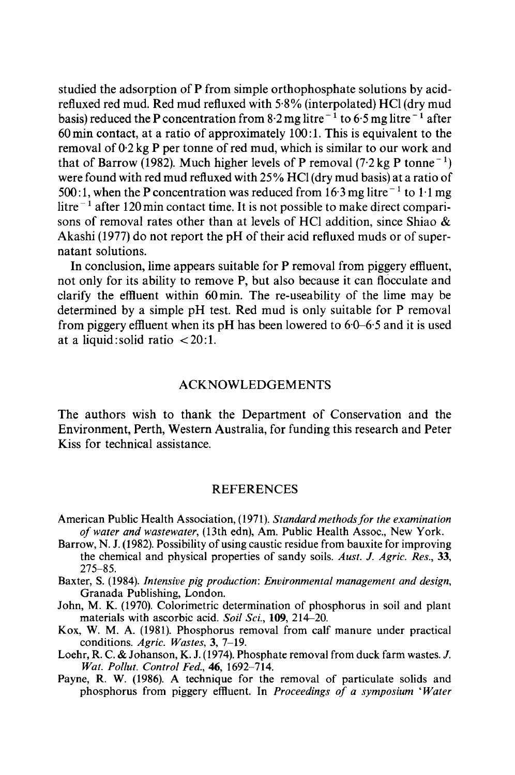basis) reduced the P concentration from 8.2 mg litre<sup>-1</sup> to 6.5 mg litre<sup>-1</sup> after 500:1, when the P concentration was reduced from 16.3 mg litre<sup>-1</sup> to 1.1 mg Akashi (1977) do not report the pH of their acid refluxed muds or of superstudied the adsorption of P from simple orthophosphate solutions by acidrefluxed red mud. Red mud refluxed with 5·8% (interpolated) HCl (dry mud 60 min contact, at a ratio of approximately 100:1. This is equivalent to the removal of 0·2 kg P per tonne of red mud, which is similar to our work and that of Barrow (1982). Much higher levels of P removal (7.2 kg P tonne<sup>-1</sup>) were found with red mud refluxed with 25% HCI (dry mud basis) at a ratio of litre $-1$  after 120 min contact time. It is not possible to make direct comparisons of removal rates other than at levels of HCI addition, since Shiao & natant solutions.

 from piggery effluent when its pH has been lowered to 6·0-6·5 and it is used In conclusion, lime appears suitable for P removal from piggery effluent, not only for its ability to remove P, but also because it can flocculate and clarify the effluent within 60 min. The re-useability of the lime may be determined by a simple pH test. Red mud is only suitable for P removal at a liquid: solid ratio  $\langle 20:1 \rangle$ .

## ACKNOWLEDGEMENTS

The authors wish to thank the Department of Conservation and the Environment, Perth, Western Australia, for funding this research and Peter Kiss for technical assistance.

#### REFERENCES

- American Public Health Association, (1971). *Standard methodsfor the examination of water and wastewater,* (13th edn), Am. Public Health Assoc., New York.
- Barrow, N. J. (1982). Possibility of using caustic residue from bauxite for improving  the chemical and physical properties of sandy soils. *Aust.* J. *Agric. Res., 33,*  275-85.
- Baxter, S. (1984). *Intensive pig production: Environmental management and design,*  Granada Publishing, London.
- John, M. K. (1970). Colorimetric determination of phosphorus in soil and plant materials with ascorbic acid. *Soil Sci.*, 109, 214-20.
- Kox, W. M. A. (1981). Phosphorus removal from calf manure under practical conditions. *Agric. Wastes,* 3, 7-19.
- Loehr, R. C. & Johanson, K. J. (1974). Phosphate removal from duck farm wastes. *J. Wat. Pollut. Control Fed.,* 46, 1692-714.
- Payne, R. W. (1986). A technique for the removal of particulate solids and phosphorus from piggery effluent. In *Proceedings of a symposium 'Water*